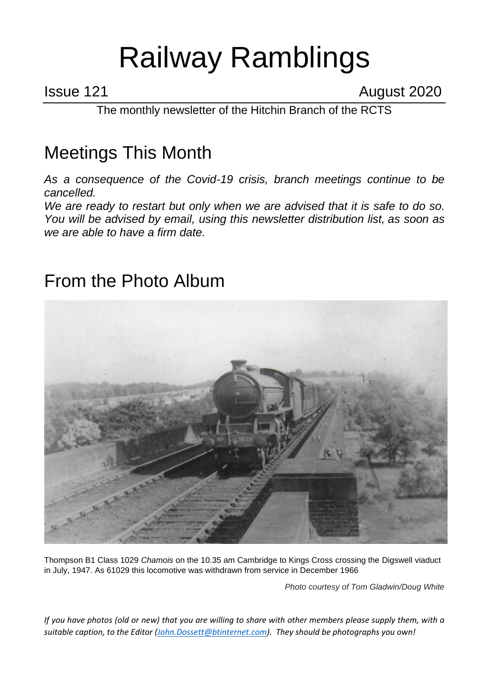# Railway Ramblings

Issue 121 **August 2020** 

The monthly newsletter of the Hitchin Branch of the RCTS

## Meetings This Month

*As a consequence of the Covid-19 crisis, branch meetings continue to be cancelled.*

*We are ready to restart but only when we are advised that it is safe to do so. You will be advised by email, using this newsletter distribution list, as soon as we are able to have a firm date.*

#### From the Photo Album



Thompson B1 Class 1029 *Chamois* on the 10.35 am Cambridge to Kings Cross crossing the Digswell viaduct in July, 1947. As 61029 this locomotive was withdrawn from service in December 1966

*Photo courtesy of Tom Gladwin/Doug White*

*If you have photos (old or new) that you are willing to share with other members please supply them, with a suitable caption, to the Editor [\(John.Dossett@btinternet.com\)](mailto:John.Dossett@btinternet.com). They should be photographs you own!*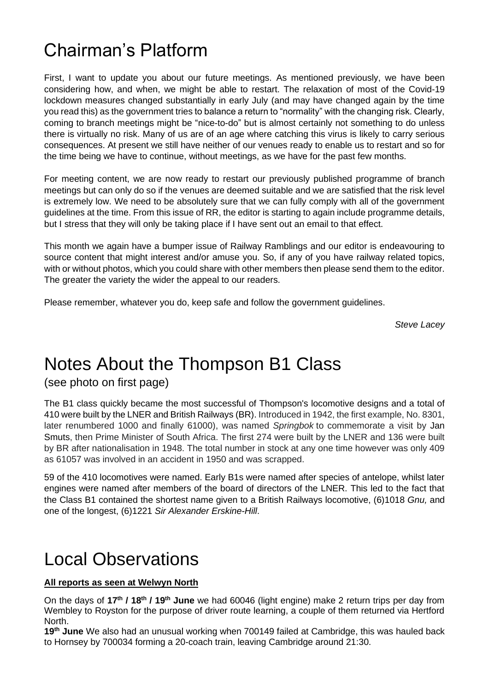#### Chairman's Platform

First, I want to update you about our future meetings. As mentioned previously, we have been considering how, and when, we might be able to restart. The relaxation of most of the Covid-19 lockdown measures changed substantially in early July (and may have changed again by the time you read this) as the government tries to balance a return to "normality" with the changing risk. Clearly, coming to branch meetings might be "nice-to-do" but is almost certainly not something to do unless there is virtually no risk. Many of us are of an age where catching this virus is likely to carry serious consequences. At present we still have neither of our venues ready to enable us to restart and so for the time being we have to continue, without meetings, as we have for the past few months.

For meeting content, we are now ready to restart our previously published programme of branch meetings but can only do so if the venues are deemed suitable and we are satisfied that the risk level is extremely low. We need to be absolutely sure that we can fully comply with all of the government guidelines at the time. From this issue of RR, the editor is starting to again include programme details, but I stress that they will only be taking place if I have sent out an email to that effect.

This month we again have a bumper issue of Railway Ramblings and our editor is endeavouring to source content that might interest and/or amuse you. So, if any of you have railway related topics, with or without photos, which you could share with other members then please send them to the editor. The greater the variety the wider the appeal to our readers.

Please remember, whatever you do, keep safe and follow the government guidelines.

*Steve Lacey*

#### Notes About the Thompson B1 Class

(see photo on first page)

The B1 class quickly became the most successful of Thompson's locomotive designs and a total of 410 were built by the LNER and British Railways (BR). Introduced in 1942, the first example, No. 8301, later renumbered 1000 and finally 61000), was named *Springbok* to commemorate a visit by Jan Smuts, then Prime Minister of South Africa. The first 274 were built by the LNER and 136 were built by BR after nationalisation in 1948. The total number in stock at any one time however was only 409 as 61057 was involved in an accident in 1950 and was scrapped.

59 of the 410 locomotives were named. Early B1s were named after species of antelope, whilst later engines were named after members of the board of directors of the LNER. This led to the fact that the Class B1 contained the shortest name given to a British Railways locomotive, (6)1018 *Gnu,* and one of the longest, (6)1221 *Sir Alexander Erskine-Hill*.

#### Local Observations

#### **All reports as seen at Welwyn North**

On the days of **17th / 18th / 19th June** we had 60046 (light engine) make 2 return trips per day from Wembley to Royston for the purpose of driver route learning, a couple of them returned via Hertford North.

**19th June** We also had an unusual working when 700149 failed at Cambridge, this was hauled back to Hornsey by 700034 forming a 20-coach train, leaving Cambridge around 21:30.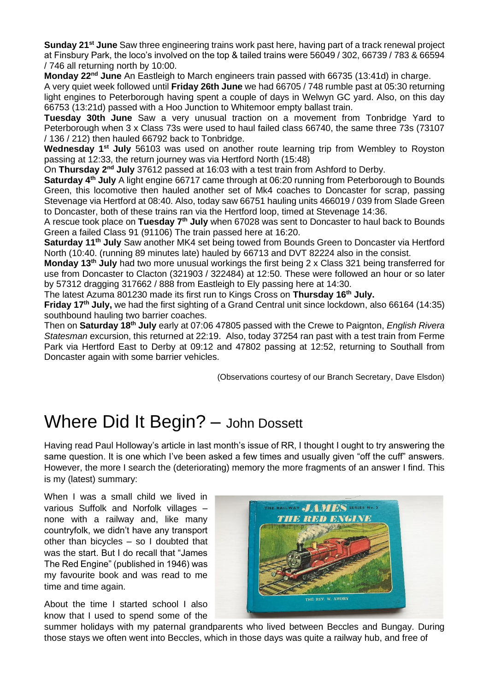**Sunday 21st June** Saw three engineering trains work past here, having part of a track renewal project at Finsbury Park, the loco's involved on the top & tailed trains were 56049 / 302, 66739 / 783 & 66594 / 746 all returning north by 10:00.

**Monday 22nd June** An Eastleigh to March engineers train passed with 66735 (13:41d) in charge.

A very quiet week followed until **Friday 26th June** we had 66705 / 748 rumble past at 05:30 returning light engines to Peterborough having spent a couple of days in Welwyn GC yard. Also, on this day 66753 (13:21d) passed with a Hoo Junction to Whitemoor empty ballast train.

**Tuesday 30th June** Saw a very unusual traction on a movement from Tonbridge Yard to Peterborough when 3 x Class 73s were used to haul failed class 66740, the same three 73s (73107 / 136 / 212) then hauled 66792 back to Tonbridge.

**Wednesday 1st July** 56103 was used on another route learning trip from Wembley to Royston passing at 12:33, the return journey was via Hertford North (15:48)

On **Thursday 2nd July** 37612 passed at 16:03 with a test train from Ashford to Derby.

**Saturday 4th July** A light engine 66717 came through at 06:20 running from Peterborough to Bounds Green, this locomotive then hauled another set of Mk4 coaches to Doncaster for scrap, passing Stevenage via Hertford at 08:40. Also, today saw 66751 hauling units 466019 / 039 from Slade Green to Doncaster, both of these trains ran via the Hertford loop, timed at Stevenage 14:36.

A rescue took place on **Tuesday 7th July** when 67028 was sent to Doncaster to haul back to Bounds Green a failed Class 91 (91106) The train passed here at 16:20.

**Saturday 11th July** Saw another MK4 set being towed from Bounds Green to Doncaster via Hertford North (10:40. (running 89 minutes late) hauled by 66713 and DVT 82224 also in the consist.

**Monday 13th July** had two more unusual workings the first being 2 x Class 321 being transferred for use from Doncaster to Clacton (321903 / 322484) at 12:50. These were followed an hour or so later by 57312 dragging 317662 / 888 from Eastleigh to Ely passing here at 14:30.

The latest Azuma 801230 made its first run to Kings Cross on **Thursday 16th July.**

**Friday 17th July,** we had the first sighting of a Grand Central unit since lockdown, also 66164 (14:35) southbound hauling two barrier coaches.

Then on **Saturday 18th July** early at 07:06 47805 passed with the Crewe to Paignton, *English Rivera Statesman* excursion, this returned at 22:19. Also, today 37254 ran past with a test train from Ferme Park via Hertford East to Derby at 09:12 and 47802 passing at 12:52, returning to Southall from Doncaster again with some barrier vehicles.

(Observations courtesy of our Branch Secretary, Dave Elsdon)

#### Where Did It Begin? - John Dossett

Having read Paul Holloway's article in last month's issue of RR, I thought I ought to try answering the same question. It is one which I've been asked a few times and usually given "off the cuff" answers. However, the more I search the (deteriorating) memory the more fragments of an answer I find. This is my (latest) summary:

When I was a small child we lived in various Suffolk and Norfolk villages – none with a railway and, like many countryfolk, we didn't have any transport other than bicycles – so I doubted that was the start. But I do recall that "James The Red Engine" (published in 1946) was my favourite book and was read to me time and time again.

About the time I started school I also know that I used to spend some of the



summer holidays with my paternal grandparents who lived between Beccles and Bungay. During those stays we often went into Beccles, which in those days was quite a railway hub, and free of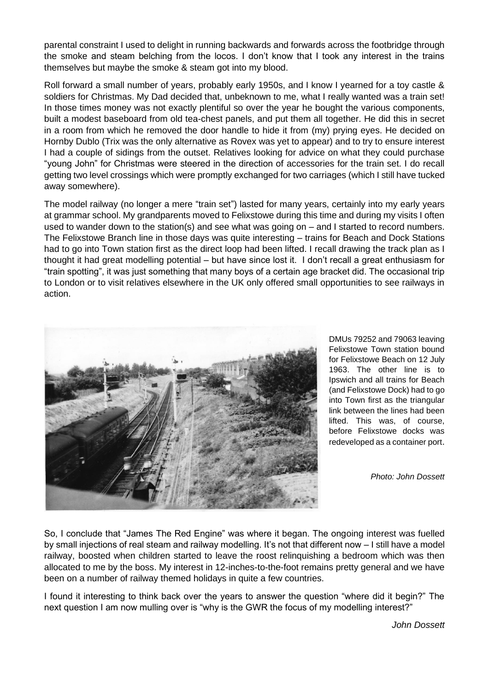parental constraint I used to delight in running backwards and forwards across the footbridge through the smoke and steam belching from the locos. I don't know that I took any interest in the trains themselves but maybe the smoke & steam got into my blood.

Roll forward a small number of years, probably early 1950s, and I know I yearned for a toy castle & soldiers for Christmas. My Dad decided that, unbeknown to me, what I really wanted was a train set! In those times money was not exactly plentiful so over the year he bought the various components, built a modest baseboard from old tea-chest panels, and put them all together. He did this in secret in a room from which he removed the door handle to hide it from (my) prying eyes. He decided on Hornby Dublo (Trix was the only alternative as Rovex was yet to appear) and to try to ensure interest I had a couple of sidings from the outset. Relatives looking for advice on what they could purchase "young John" for Christmas were steered in the direction of accessories for the train set. I do recall getting two level crossings which were promptly exchanged for two carriages (which I still have tucked away somewhere).

The model railway (no longer a mere "train set") lasted for many years, certainly into my early years at grammar school. My grandparents moved to Felixstowe during this time and during my visits I often used to wander down to the station(s) and see what was going on – and I started to record numbers. The Felixstowe Branch line in those days was quite interesting – trains for Beach and Dock Stations had to go into Town station first as the direct loop had been lifted. I recall drawing the track plan as I thought it had great modelling potential – but have since lost it. I don't recall a great enthusiasm for "train spotting", it was just something that many boys of a certain age bracket did. The occasional trip to London or to visit relatives elsewhere in the UK only offered small opportunities to see railways in action.



DMUs 79252 and 79063 leaving Felixstowe Town station bound for Felixstowe Beach on 12 July 1963. The other line is to Ipswich and all trains for Beach (and Felixstowe Dock) had to go into Town first as the triangular link between the lines had been lifted. This was, of course, before Felixstowe docks was redeveloped as a container port.

*Photo: John Dossett*

So, I conclude that "James The Red Engine" was where it began. The ongoing interest was fuelled by small injections of real steam and railway modelling. It's not that different now – I still have a model railway, boosted when children started to leave the roost relinquishing a bedroom which was then allocated to me by the boss. My interest in 12-inches-to-the-foot remains pretty general and we have been on a number of railway themed holidays in quite a few countries.

I found it interesting to think back over the years to answer the question "where did it begin?" The next question I am now mulling over is "why is the GWR the focus of my modelling interest?"

*John Dossett*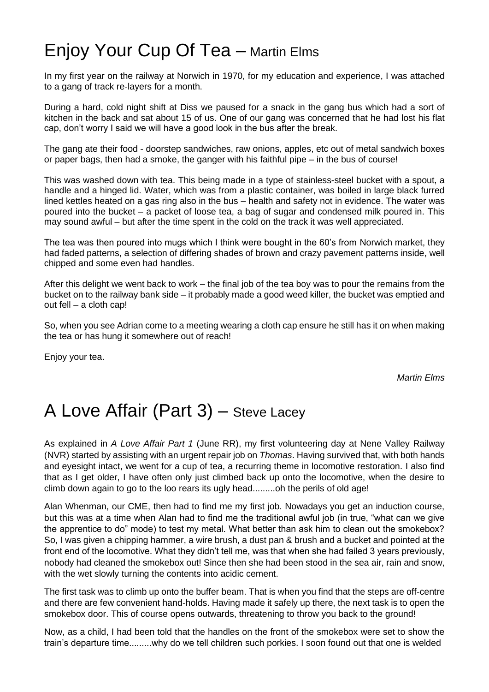### Enjoy Your Cup Of Tea – Martin Elms

In my first year on the railway at Norwich in 1970, for my education and experience, I was attached to a gang of track re-layers for a month.

During a hard, cold night shift at Diss we paused for a snack in the gang bus which had a sort of kitchen in the back and sat about 15 of us. One of our gang was concerned that he had lost his flat cap, don't worry I said we will have a good look in the bus after the break.

The gang ate their food - doorstep sandwiches, raw onions, apples, etc out of metal sandwich boxes or paper bags, then had a smoke, the ganger with his faithful pipe – in the bus of course!

This was washed down with tea. This being made in a type of stainless-steel bucket with a spout, a handle and a hinged lid. Water, which was from a plastic container, was boiled in large black furred lined kettles heated on a gas ring also in the bus – health and safety not in evidence. The water was poured into the bucket – a packet of loose tea, a bag of sugar and condensed milk poured in. This may sound awful – but after the time spent in the cold on the track it was well appreciated.

The tea was then poured into mugs which I think were bought in the 60's from Norwich market, they had faded patterns, a selection of differing shades of brown and crazy pavement patterns inside, well chipped and some even had handles.

After this delight we went back to work – the final job of the tea boy was to pour the remains from the bucket on to the railway bank side – it probably made a good weed killer, the bucket was emptied and out fell – a cloth cap!

So, when you see Adrian come to a meeting wearing a cloth cap ensure he still has it on when making the tea or has hung it somewhere out of reach!

Enjoy your tea.

*Martin Elms*

### A Love Affair (Part 3) – Steve Lacey

As explained in *A Love Affair Part 1* (June RR), my first volunteering day at Nene Valley Railway (NVR) started by assisting with an urgent repair job on *Thomas*. Having survived that, with both hands and eyesight intact, we went for a cup of tea, a recurring theme in locomotive restoration. I also find that as I get older, I have often only just climbed back up onto the locomotive, when the desire to climb down again to go to the loo rears its ugly head.........oh the perils of old age!

Alan Whenman, our CME, then had to find me my first job. Nowadays you get an induction course, but this was at a time when Alan had to find me the traditional awful job (in true, "what can we give the apprentice to do" mode) to test my metal. What better than ask him to clean out the smokebox? So, I was given a chipping hammer, a wire brush, a dust pan & brush and a bucket and pointed at the front end of the locomotive. What they didn't tell me, was that when she had failed 3 years previously, nobody had cleaned the smokebox out! Since then she had been stood in the sea air, rain and snow, with the wet slowly turning the contents into acidic cement.

The first task was to climb up onto the buffer beam. That is when you find that the steps are off-centre and there are few convenient hand-holds. Having made it safely up there, the next task is to open the smokebox door. This of course opens outwards, threatening to throw you back to the ground!

Now, as a child, I had been told that the handles on the front of the smokebox were set to show the train's departure time.........why do we tell children such porkies. I soon found out that one is welded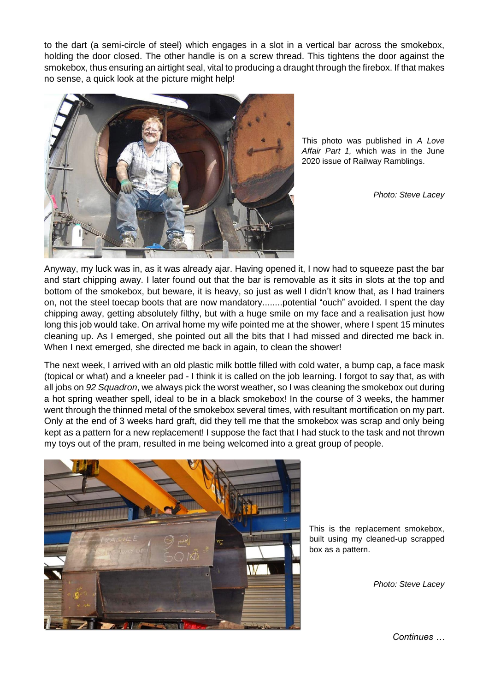to the dart (a semi-circle of steel) which engages in a slot in a vertical bar across the smokebox, holding the door closed. The other handle is on a screw thread. This tightens the door against the smokebox, thus ensuring an airtight seal, vital to producing a draught through the firebox. If that makes no sense, a quick look at the picture might help!



This photo was published in *A Love Affair Part 1,* which was in the June 2020 issue of Railway Ramblings.

*Photo: Steve Lacey*

Anyway, my luck was in, as it was already ajar. Having opened it, I now had to squeeze past the bar and start chipping away. I later found out that the bar is removable as it sits in slots at the top and bottom of the smokebox, but beware, it is heavy, so just as well I didn't know that, as I had trainers on, not the steel toecap boots that are now mandatory........potential "ouch" avoided. I spent the day chipping away, getting absolutely filthy, but with a huge smile on my face and a realisation just how long this job would take. On arrival home my wife pointed me at the shower, where I spent 15 minutes cleaning up. As I emerged, she pointed out all the bits that I had missed and directed me back in. When I next emerged, she directed me back in again, to clean the shower!

The next week, I arrived with an old plastic milk bottle filled with cold water, a bump cap, a face mask (topical or what) and a kneeler pad - I think it is called on the job learning. I forgot to say that, as with all jobs on *92 Squadron*, we always pick the worst weather, so I was cleaning the smokebox out during a hot spring weather spell, ideal to be in a black smokebox! In the course of 3 weeks, the hammer went through the thinned metal of the smokebox several times, with resultant mortification on my part. Only at the end of 3 weeks hard graft, did they tell me that the smokebox was scrap and only being kept as a pattern for a new replacement! I suppose the fact that I had stuck to the task and not thrown my toys out of the pram, resulted in me being welcomed into a great group of people.



This is the replacement smokebox, built using my cleaned-up scrapped box as a pattern.

*Photo: Steve Lacey*

*Continues …*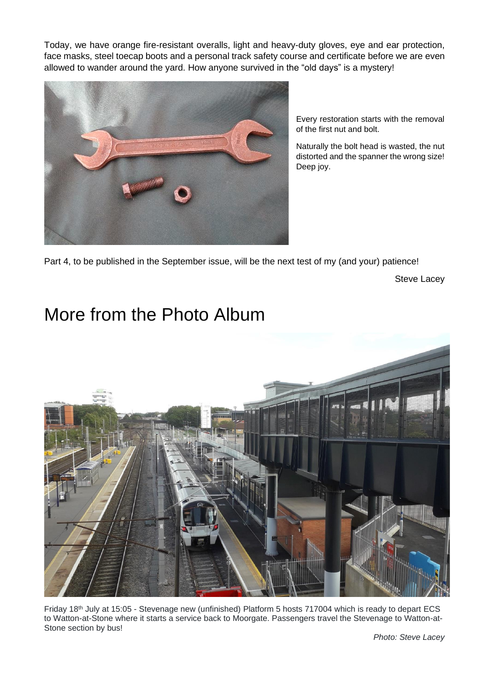Today, we have orange fire-resistant overalls, light and heavy-duty gloves, eye and ear protection, face masks, steel toecap boots and a personal track safety course and certificate before we are even allowed to wander around the yard. How anyone survived in the "old days" is a mystery!



Every restoration starts with the removal of the first nut and bolt.

Naturally the bolt head is wasted, the nut distorted and the spanner the wrong size! Deep joy.

Part 4, to be published in the September issue, will be the next test of my (and your) patience!

Steve Lacey

#### More from the Photo Album



Friday 18th July at 15:05 - Stevenage new (unfinished) Platform 5 hosts 717004 which is ready to depart ECS to Watton-at-Stone where it starts a service back to Moorgate. Passengers travel the Stevenage to Watton-at-Stone section by bus!